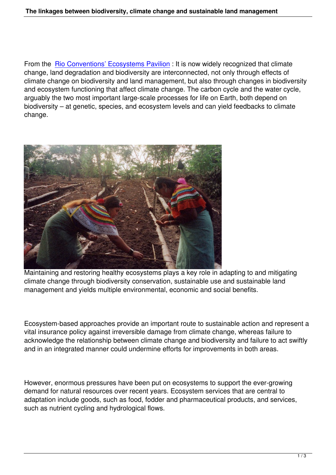From the Rio Conventions' Ecosystems Pavilion : It is now widely recognized that climate change, land degradation and biodiversity are interconnected, not only through effects of climate change on biodiversity and land management, but also through changes in biodiversity and ecos[ystem functioning that affect climate cha](http://www.ecosystemspavilion.org/)nge. The carbon cycle and the water cycle, arguably the two most important large-scale processes for life on Earth, both depend on biodiversity – at genetic, species, and ecosystem levels and can yield feedbacks to climate change.



Maintaining and restoring healthy ecosystems plays a key role in adapting to and mitigating climate change through biodiversity conservation, sustainable use and sustainable land management and yields multiple environmental, economic and social benefits.

Ecosystem-based approaches provide an important route to sustainable action and represent a vital insurance policy against irreversible damage from climate change, whereas failure to acknowledge the relationship between climate change and biodiversity and failure to act swiftly and in an integrated manner could undermine efforts for improvements in both areas.

However, enormous pressures have been put on ecosystems to support the ever-growing demand for natural resources over recent years. Ecosystem services that are central to adaptation include goods, such as food, fodder and pharmaceutical products, and services, such as nutrient cycling and hydrological flows.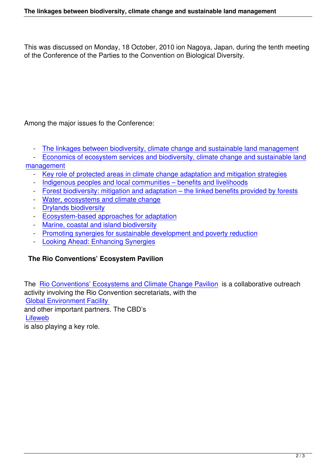This was discussed on Monday, 18 October, 2010 ion Nagoya, Japan, during the tenth meeting of the Conference of the Parties to the Convention on Biological Diversity.

Among the major issues fo the Conference:

- The linkages between biodiversity, climate change and sustainable land management

- Economics of ecosystem services and biodiversity, climate change and sustainable land

- management
	- [Key role of protected areas in climate change adaptation and mitigation strategies](http://ecosystemspavilion.org/en/nagoya/47-the-linkages-between-biodiversity-climate-change-and-sustainable-land-management)
	- [Indigenous peoples and local communities benefits and livelihoods](http://ecosystemspavilion.org/en/nagoya/57-economics-of-ecosystem-services-and-biodiversity-climate-change-and-sustainable-land-management)
	- [Forest b](http://ecosystemspavilion.org/en/nagoya/57-economics-of-ecosystem-services-and-biodiversity-climate-change-and-sustainable-land-management)iodiversity: mitigation and adaptation the linked benefits provided by forests
	- [Water, ecosystems and climate change](http://ecosystemspavilion.org/en/nagoya/50-protected-areas)
	- [Drylands biodiversity](http://ecosystemspavilion.org/en/nagoya/53-indigenous-peoples-and-local-communities-benefits-and-livelihoods)
	- [Ecosystem-based approaches for adaptation](http://ecosystemspavilion.org/en/nagoya/54-forest-biodiversity-mitigation-and-adaptation-the-linked-benefits-provided-by-forests)
	- [Marine, coastal and island biodiversity](http://ecosystemspavilion.org/en/nagoya/55-water-ecosystems-and-climate-change)
	- [Promoting synergies](http://ecosystemspavilion.org/en/nagoya/56-drylands-biodiversity) for sustainable development and poverty reduction
	- [Looking Ahead: Enhancing Synergies](http://ecosystemspavilion.org/en/nagoya/58-ecosystem-based-approaches-for-adaptation-)

## **The [Rio Conventions' Ecosystem Pavilion](http://ecosystemspavilion.org/en/nagoya/59-promoting-synergies-for-sustainable-development-and-poverty-reduction)**

The Rio Conventions' Ecosystems and Climate Change Pavilion is a collaborative outreach activity involving the Rio Convention secretariats, with the Global Environment Facility and [other important partners. The CBD's](http://www.ecosystemspavilion.org/en/home)  **Lifeweb** [is also playing a key role.](http://www.thegef.org/gef/)